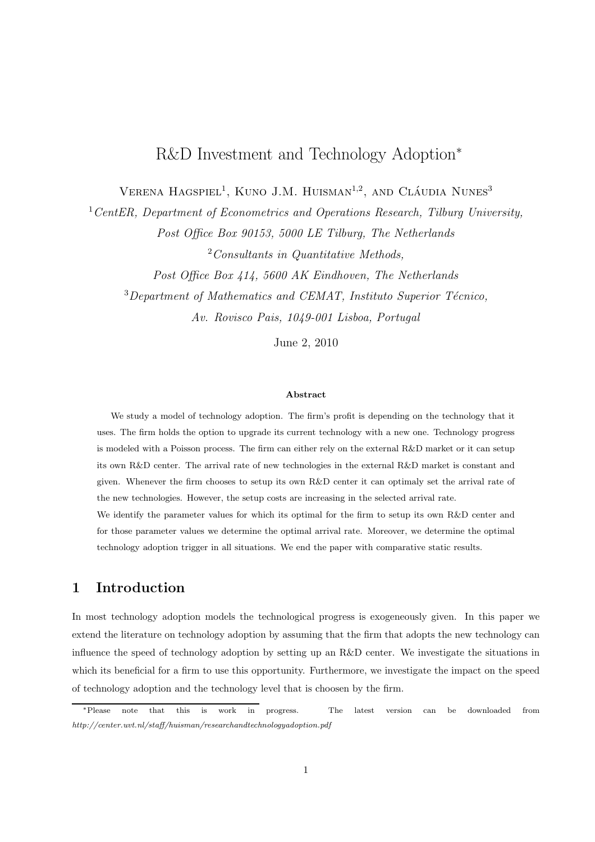# R&D Investment and Technology Adoption<sup>∗</sup>

VERENA HAGSPIEL<sup>1</sup>, KUNO J.M. HUISMAN<sup>1,2</sup>, AND CLÁUDIA NUNES<sup>3</sup>

 $1 CentER$ , Department of Econometrics and Operations Research, Tilburg University, Post Office Box 90153, 5000 LE Tilburg, The Netherlands

 $2$ Consultants in Quantitative Methods.

Post Office Box 414, 5600 AK Eindhoven, The Netherlands  $3$ Department of Mathematics and CEMAT, Instituto Superior Técnico, Av. Rovisco Pais, 1049-001 Lisboa, Portugal

June 2, 2010

#### Abstract

We study a model of technology adoption. The firm's profit is depending on the technology that it uses. The firm holds the option to upgrade its current technology with a new one. Technology progress is modeled with a Poisson process. The firm can either rely on the external R&D market or it can setup its own R&D center. The arrival rate of new technologies in the external R&D market is constant and given. Whenever the firm chooses to setup its own R&D center it can optimaly set the arrival rate of the new technologies. However, the setup costs are increasing in the selected arrival rate. We identify the parameter values for which its optimal for the firm to setup its own R&D center and for those parameter values we determine the optimal arrival rate. Moreover, we determine the optimal

technology adoption trigger in all situations. We end the paper with comparative static results.

## 1 Introduction

In most technology adoption models the technological progress is exogeneously given. In this paper we extend the literature on technology adoption by assuming that the firm that adopts the new technology can influence the speed of technology adoption by setting up an R&D center. We investigate the situations in which its beneficial for a firm to use this opportunity. Furthermore, we investigate the impact on the speed of technology adoption and the technology level that is choosen by the firm.

<sup>∗</sup>Please note that this is work in progress. The latest version can be downloaded from http://center.uvt.nl/staff/huisman/researchandtechnologyadoption.pdf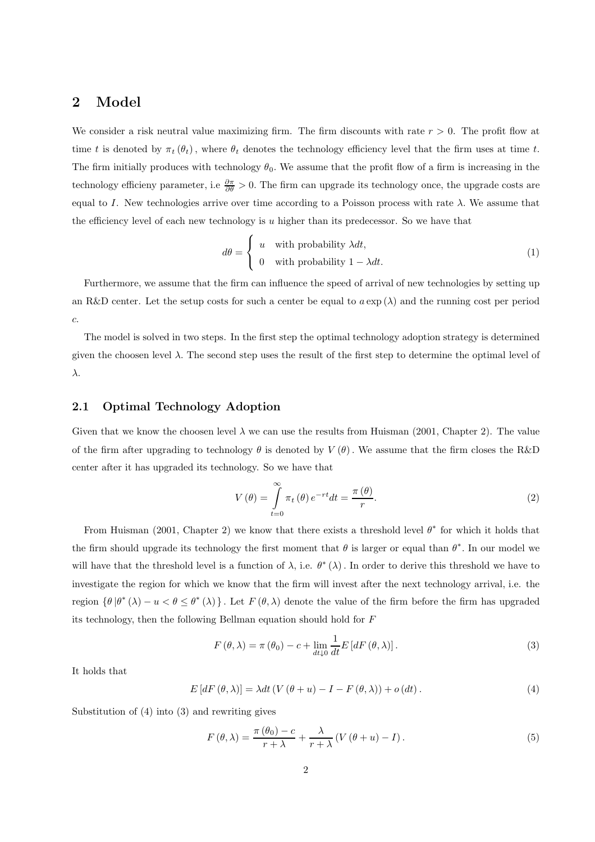## 2 Model

We consider a risk neutral value maximizing firm. The firm discounts with rate  $r > 0$ . The profit flow at time t is denoted by  $\pi_t(\theta_t)$ , where  $\theta_t$  denotes the technology efficiency level that the firm uses at time t. The firm initially produces with technology  $\theta_0$ . We assume that the profit flow of a firm is increasing in the technology efficieny parameter, i.e  $\frac{\partial \pi}{\partial \theta} > 0$ . The firm can upgrade its technology once, the upgrade costs are equal to I. New technologies arrive over time according to a Poisson process with rate  $\lambda$ . We assume that the efficiency level of each new technology is  $u$  higher than its predecessor. So we have that

$$
d\theta = \begin{cases} u & \text{with probability } \lambda dt, \\ 0 & \text{with probability } 1 - \lambda dt. \end{cases}
$$
 (1)

Furthermore, we assume that the firm can influence the speed of arrival of new technologies by setting up an R&D center. Let the setup costs for such a center be equal to  $a \exp(\lambda)$  and the running cost per period c.

The model is solved in two steps. In the first step the optimal technology adoption strategy is determined given the choosen level  $\lambda$ . The second step uses the result of the first step to determine the optimal level of λ.

### 2.1 Optimal Technology Adoption

Given that we know the choosen level  $\lambda$  we can use the results from Huisman (2001, Chapter 2). The value of the firm after upgrading to technology  $\theta$  is denoted by  $V(\theta)$ . We assume that the firm closes the R&D center after it has upgraded its technology. So we have that

$$
V(\theta) = \int_{t=0}^{\infty} \pi_t(\theta) e^{-rt} dt = \frac{\pi(\theta)}{r}.
$$
 (2)

From Huisman (2001, Chapter 2) we know that there exists a threshold level  $\theta^*$  for which it holds that the firm should upgrade its technology the first moment that  $\theta$  is larger or equal than  $\theta^*$ . In our model we will have that the threshold level is a function of  $\lambda$ , i.e.  $\theta^*(\lambda)$ . In order to derive this threshold we have to investigate the region for which we know that the firm will invest after the next technology arrival, i.e. the region  $\{\theta | \theta^*(\lambda) - u \le \theta \le \theta^*(\lambda)\}\.$  Let  $F(\theta, \lambda)$  denote the value of the firm before the firm has upgraded its technology, then the following Bellman equation should hold for F

$$
F(\theta,\lambda) = \pi(\theta_0) - c + \lim_{dt \downarrow 0} \frac{1}{dt} E\left[dF(\theta,\lambda)\right].
$$
\n(3)

It holds that

$$
E\left[dF\left(\theta,\lambda\right)\right] = \lambda dt \left(V\left(\theta+u\right) - I - F\left(\theta,\lambda\right)\right) + o\left(dt\right). \tag{4}
$$

Substitution of (4) into (3) and rewriting gives

$$
F(\theta,\lambda) = \frac{\pi(\theta_0) - c}{r + \lambda} + \frac{\lambda}{r + \lambda} (V(\theta + u) - I).
$$
 (5)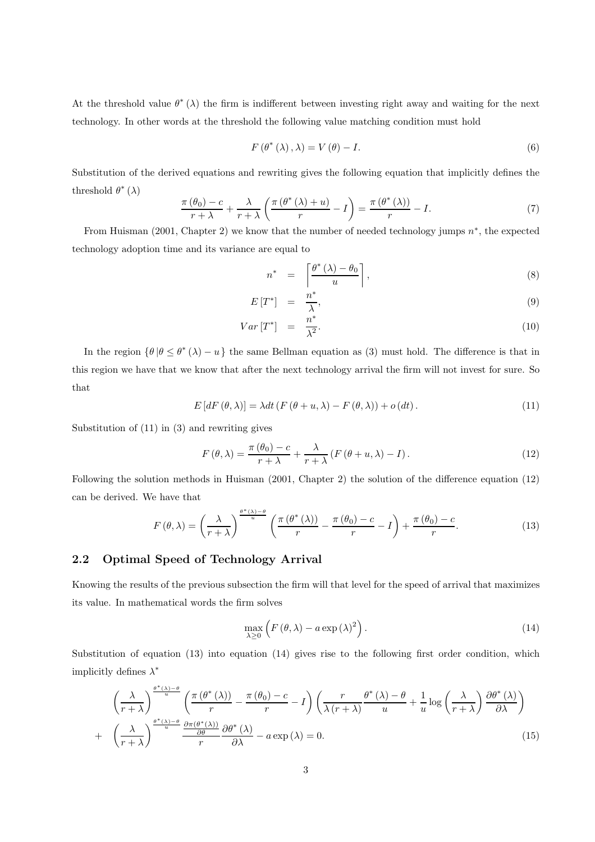At the threshold value  $\theta^*(\lambda)$  the firm is indifferent between investing right away and waiting for the next technology. In other words at the threshold the following value matching condition must hold

$$
F(\theta^*(\lambda), \lambda) = V(\theta) - I.
$$
\n(6)

Substitution of the derived equations and rewriting gives the following equation that implicitly defines the threshold  $\theta^*$  ( $\lambda$ )

$$
\frac{\pi(\theta_0) - c}{r + \lambda} + \frac{\lambda}{r + \lambda} \left( \frac{\pi(\theta^*(\lambda) + u)}{r} - I \right) = \frac{\pi(\theta^*(\lambda))}{r} - I.
$$
\n(7)

From Huisman (2001, Chapter 2) we know that the number of needed technology jumps  $n^*$ , the expected technology adoption time and its variance are equal to

$$
n^* = \left\lceil \frac{\theta^*(\lambda) - \theta_0}{u} \right\rceil, \tag{8}
$$

$$
E\left[T^*\right] = \frac{n^*}{\lambda},\tag{9}
$$

$$
Var\left[T^*\right] = \frac{n^*}{\lambda^2}.\tag{10}
$$

In the region  $\{\theta | \theta \leq \theta^* (\lambda) - u\}$  the same Bellman equation as (3) must hold. The difference is that in this region we have that we know that after the next technology arrival the firm will not invest for sure. So that

$$
E\left[dF\left(\theta,\lambda\right)\right] = \lambda dt \left(F\left(\theta+u,\lambda\right) - F\left(\theta,\lambda\right)\right) + o\left(dt\right). \tag{11}
$$

Substitution of (11) in (3) and rewriting gives

$$
F(\theta,\lambda) = \frac{\pi(\theta_0) - c}{r + \lambda} + \frac{\lambda}{r + \lambda} \left( F(\theta + u, \lambda) - I \right). \tag{12}
$$

Following the solution methods in Huisman (2001, Chapter 2) the solution of the difference equation (12) can be derived. We have that

$$
F(\theta,\lambda) = \left(\frac{\lambda}{r+\lambda}\right)^{\frac{\theta^*(\lambda)-\theta}{u}} \left(\frac{\pi(\theta^*(\lambda))}{r} - \frac{\pi(\theta_0)-c}{r} - I\right) + \frac{\pi(\theta_0)-c}{r}.\tag{13}
$$

### 2.2 Optimal Speed of Technology Arrival

Knowing the results of the previous subsection the firm will that level for the speed of arrival that maximizes its value. In mathematical words the firm solves

$$
\max_{\lambda \ge 0} \left( F(\theta, \lambda) - a \exp(\lambda)^2 \right). \tag{14}
$$

Substitution of equation (13) into equation (14) gives rise to the following first order condition, which implicitly defines  $\lambda^*$ 

$$
\left(\frac{\lambda}{r+\lambda}\right)^{\frac{\theta^*(\lambda)-\theta}{u}} \left(\frac{\pi(\theta^*(\lambda))}{r} - \frac{\pi(\theta_0)-c}{r} - I\right) \left(\frac{r}{\lambda(r+\lambda)}\frac{\theta^*(\lambda)-\theta}{u} + \frac{1}{u}\log\left(\frac{\lambda}{r+\lambda}\right)\frac{\partial\theta^*(\lambda)}{\partial\lambda}\right)
$$

$$
+ \left(\frac{\lambda}{r+\lambda}\right)^{\frac{\theta^*(\lambda)-\theta}{u}} \frac{\frac{\partial\pi(\theta^*(\lambda))}{\partial\theta}}{r} \frac{\partial\theta^*(\lambda)}{\partial\lambda} - a\exp(\lambda) = 0.
$$
(15)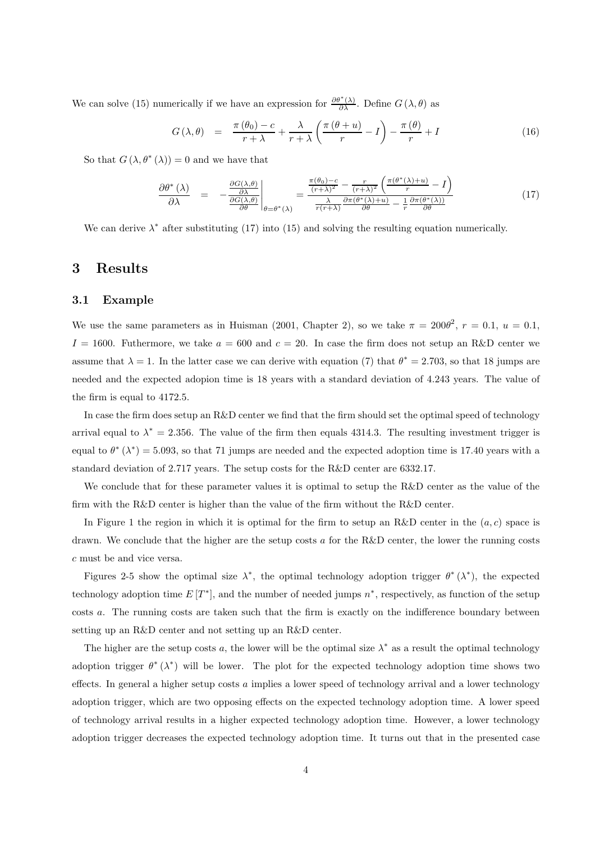We can solve (15) numerically if we have an expression for  $\frac{\partial \theta^*(\lambda)}{\partial \lambda}$ . Define  $G(\lambda, \theta)$  as

$$
G(\lambda, \theta) = \frac{\pi(\theta_0) - c}{r + \lambda} + \frac{\lambda}{r + \lambda} \left( \frac{\pi(\theta + u)}{r} - I \right) - \frac{\pi(\theta)}{r} + I \tag{16}
$$

So that  $G(\lambda, \theta^*(\lambda)) = 0$  and we have that

$$
\frac{\partial \theta^* \left( \lambda \right)}{\partial \lambda} = -\frac{\frac{\partial G(\lambda, \theta)}{\partial \lambda}}{\frac{\partial G(\lambda, \theta)}{\partial \theta}} \bigg|_{\theta = \theta^* \left( \lambda \right)} = \frac{\frac{\pi(\theta_0) - c}{(r + \lambda)^2} - \frac{r}{(r + \lambda)^2} \left( \frac{\pi(\theta^* (\lambda) + u)}{r} - I \right)}{\frac{\lambda}{r(r + \lambda)} \frac{\partial \pi(\theta^* (\lambda) + u)}{\partial \theta} - \frac{1}{r} \frac{\partial \pi(\theta^* (\lambda))}{\partial \theta}} \tag{17}
$$

We can derive  $\lambda^*$  after substituting (17) into (15) and solving the resulting equation numerically.

### 3 Results

#### 3.1 Example

We use the same parameters as in Huisman (2001, Chapter 2), so we take  $\pi = 200\theta^2$ ,  $r = 0.1$ ,  $u = 0.1$ ,  $I = 1600$ . Futhermore, we take  $a = 600$  and  $c = 20$ . In case the firm does not setup an R&D center we assume that  $\lambda = 1$ . In the latter case we can derive with equation (7) that  $\theta^* = 2.703$ , so that 18 jumps are needed and the expected adopion time is 18 years with a standard deviation of 4.243 years. The value of the firm is equal to 4172.5.

In case the firm does setup an R&D center we find that the firm should set the optimal speed of technology arrival equal to  $\lambda^* = 2.356$ . The value of the firm then equals 4314.3. The resulting investment trigger is equal to  $\theta^* (\lambda^*) = 5.093$ , so that 71 jumps are needed and the expected adoption time is 17.40 years with a standard deviation of 2.717 years. The setup costs for the R&D center are 6332.17.

We conclude that for these parameter values it is optimal to setup the R&D center as the value of the firm with the R&D center is higher than the value of the firm without the R&D center.

In Figure 1 the region in which it is optimal for the firm to setup an R&D center in the  $(a, c)$  space is drawn. We conclude that the higher are the setup costs  $a$  for the R&D center, the lower the running costs c must be and vice versa.

Figures 2-5 show the optimal size  $\lambda^*$ , the optimal technology adoption trigger  $\theta^* (\lambda^*)$ , the expected technology adoption time  $E[T^*]$ , and the number of needed jumps  $n^*$ , respectively, as function of the setup costs a. The running costs are taken such that the firm is exactly on the indifference boundary between setting up an R&D center and not setting up an R&D center.

The higher are the setup costs a, the lower will be the optimal size  $\lambda^*$  as a result the optimal technology adoption trigger  $\theta^* (\lambda^*)$  will be lower. The plot for the expected technology adoption time shows two effects. In general a higher setup costs a implies a lower speed of technology arrival and a lower technology adoption trigger, which are two opposing effects on the expected technology adoption time. A lower speed of technology arrival results in a higher expected technology adoption time. However, a lower technology adoption trigger decreases the expected technology adoption time. It turns out that in the presented case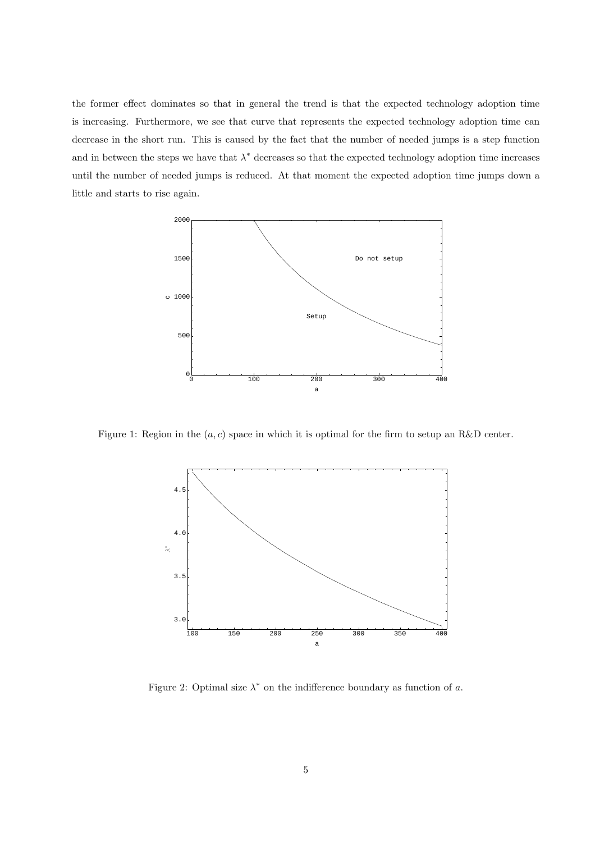the former effect dominates so that in general the trend is that the expected technology adoption time is increasing. Furthermore, we see that curve that represents the expected technology adoption time can decrease in the short run. This is caused by the fact that the number of needed jumps is a step function and in between the steps we have that  $\lambda^*$  decreases so that the expected technology adoption time increases until the number of needed jumps is reduced. At that moment the expected adoption time jumps down a little and starts to rise again.



Figure 1: Region in the  $(a, c)$  space in which it is optimal for the firm to setup an R&D center.



Figure 2: Optimal size  $\lambda^*$  on the indifference boundary as function of a.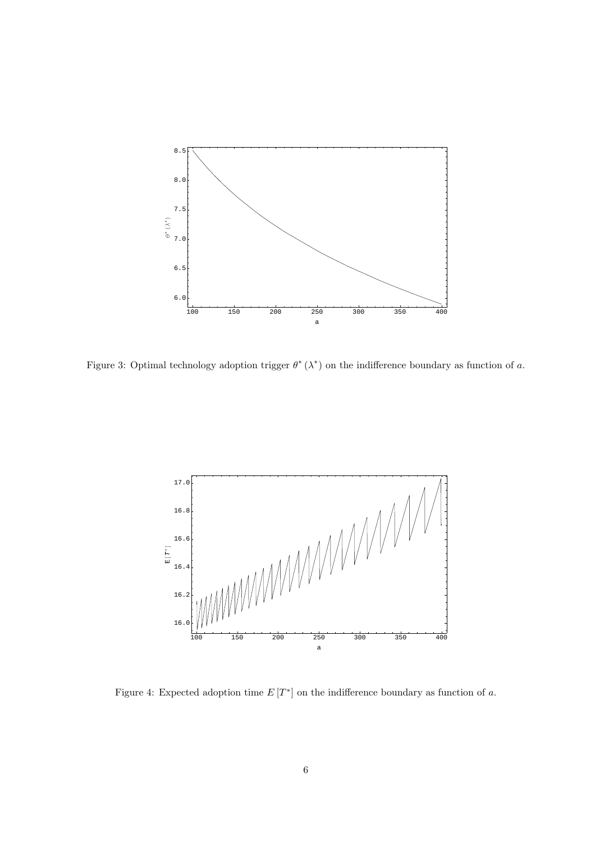

Figure 3: Optimal technology adoption trigger  $\theta^* (\lambda^*)$  on the indifference boundary as function of a.



Figure 4: Expected adoption time  $E[T^*]$  on the indifference boundary as function of a.